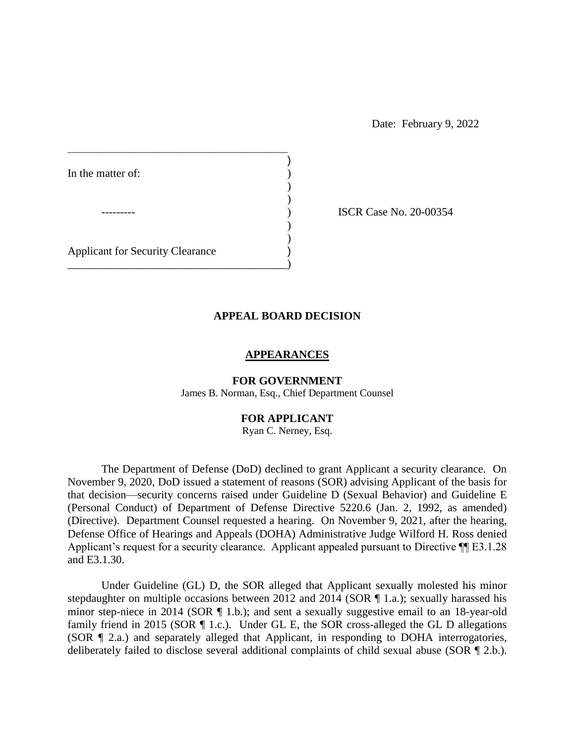Date: February 9, 2022

In the matter of:  $\qquad \qquad$  )

ISCR Case No. 20-00354

Applicant for Security Clearance )

\_\_\_\_\_\_\_\_\_\_\_\_\_\_\_\_\_\_\_\_\_\_\_\_\_\_\_\_\_\_\_\_\_\_\_\_\_\_\_\_\_\_\_\_\_\_\_

 $\overline{\phantom{a}}$  $)$ 

\_\_\_\_\_\_\_\_\_\_\_\_\_\_\_\_\_\_\_\_\_\_\_\_\_\_\_\_\_\_\_\_\_\_\_\_\_\_\_)

### **APPEAL BOARD DECISION**

)

) )

#### **APPEARANCES**

**FOR GOVERNMENT**  James B. Norman, Esq., Chief Department Counsel

#### **FOR APPLICANT**

Ryan C. Nerney, Esq.

 The Department of Defense (DoD) declined to grant Applicant a security clearance. On November 9, 2020, DoD issued a statement of reasons (SOR) advising Applicant of the basis for (Personal Conduct) of Department of Defense Directive 5220.6 (Jan. 2, 1992, as amended) Defense Office of Hearings and Appeals (DOHA) Administrative Judge Wilford H. Ross denied Applicant's request for a security clearance. Applicant appealed pursuant to Directive  $\P$ [E3.1.28 that decision—security concerns raised under Guideline D (Sexual Behavior) and Guideline E (Directive). Department Counsel requested a hearing. On November 9, 2021, after the hearing, and E3.1.30.

minor step-niece in 2014 (SOR ¶ 1.b.); and sent a sexually suggestive email to an 18-year-old (SOR ¶ 2.a.) and separately alleged that Applicant, in responding to DOHA interrogatories, Under Guideline (GL) D, the SOR alleged that Applicant sexually molested his minor stepdaughter on multiple occasions between 2012 and 2014 (SOR ¶ 1.a.); sexually harassed his family friend in 2015 (SOR ¶ 1.c.). Under GL E, the SOR cross-alleged the GL D allegations deliberately failed to disclose several additional complaints of child sexual abuse (SOR ¶ 2.b.).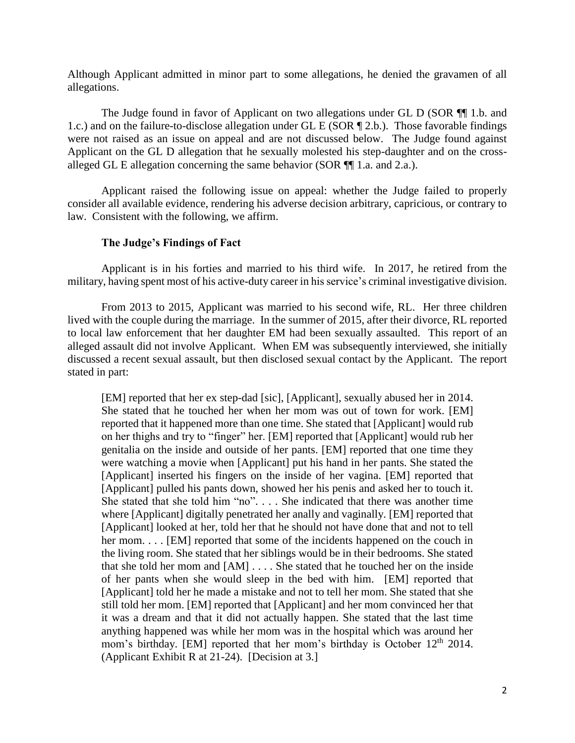Although Applicant admitted in minor part to some allegations, he denied the gravamen of all allegations.

The Judge found in favor of Applicant on two allegations under GL D (SOR ¶] 1.b. and 1.c.) and on the failure-to-disclose allegation under GL E (SOR ¶ 2.b.). Those favorable findings were not raised as an issue on appeal and are not discussed below. The Judge found against Applicant on the GL D allegation that he sexually molested his step-daughter and on the crossalleged GL E allegation concerning the same behavior (SOR ¶¶ 1.a. and 2.a.).

 Applicant raised the following issue on appeal: whether the Judge failed to properly consider all available evidence, rendering his adverse decision arbitrary, capricious, or contrary to law. Consistent with the following, we affirm.

### **The Judge's Findings of Fact**

 military, having spent most of his active-duty career in his service's criminal investigative division. Applicant is in his forties and married to his third wife. In 2017, he retired from the

 lived with the couple during the marriage. In the summer of 2015, after their divorce, RL reported to local law enforcement that her daughter EM had been sexually assaulted. This report of an alleged assault did not involve Applicant. When EM was subsequently interviewed, she initially discussed a recent sexual assault, but then disclosed sexual contact by the Applicant. The report From 2013 to 2015, Applicant was married to his second wife, RL. Her three children stated in part:

 reported that it happened more than one time. She stated that [Applicant] would rub on her thighs and try to "finger" her. [EM] reported that [Applicant] would rub her genitalia on the inside and outside of her pants. [EM] reported that one time they were watching a movie when [Applicant] put his hand in her pants. She stated the She stated that she told him "no". . . . She indicated that there was another time where [Applicant] digitally penetrated her anally and vaginally. [EM] reported that [Applicant] looked at her, told her that he should not have done that and not to tell the living room. She stated that her siblings would be in their bedrooms. She stated that she told her mom and [AM] . . . . She stated that he touched her on the inside [Applicant] told her he made a mistake and not to tell her mom. She stated that she it was a dream and that it did not actually happen. She stated that the last time anything happened was while her mom was in the hospital which was around her (Applicant Exhibit R at 21-24). [Decision at 3.] [EM] reported that her ex step-dad [sic], [Applicant], sexually abused her in 2014. She stated that he touched her when her mom was out of town for work. [EM] [Applicant] inserted his fingers on the inside of her vagina. [EM] reported that [Applicant] pulled his pants down, showed her his penis and asked her to touch it. her mom. . . . [EM] reported that some of the incidents happened on the couch in of her pants when she would sleep in the bed with him. [EM] reported that still told her mom. [EM] reported that [Applicant] and her mom convinced her that mom's birthday. [EM] reported that her mom's birthday is October 12<sup>th</sup> 2014.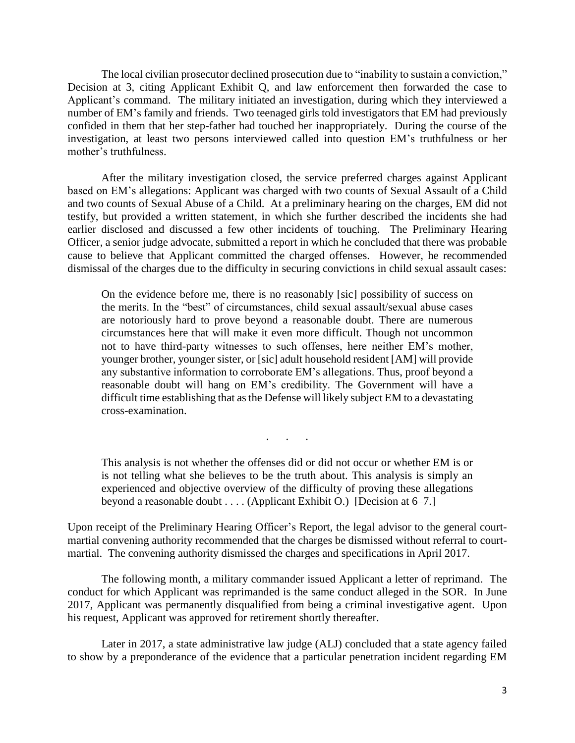The local civilian prosecutor declined prosecution due to "inability to sustain a conviction," Decision at 3, citing Applicant Exhibit Q, and law enforcement then forwarded the case to Applicant's command. The military initiated an investigation, during which they interviewed a confided in them that her step-father had touched her inappropriately. During the course of the mother's truthfulness. number of EM's family and friends. Two teenaged girls told investigators that EM had previously investigation, at least two persons interviewed called into question EM's truthfulness or her

 based on EM's allegations: Applicant was charged with two counts of Sexual Assault of a Child and two counts of Sexual Abuse of a Child. At a preliminary hearing on the charges, EM did not earlier disclosed and discussed a few other incidents of touching. The Preliminary Hearing cause to believe that Applicant committed the charged offenses. However, he recommended After the military investigation closed, the service preferred charges against Applicant testify, but provided a written statement, in which she further described the incidents she had Officer, a senior judge advocate, submitted a report in which he concluded that there was probable dismissal of the charges due to the difficulty in securing convictions in child sexual assault cases:

 On the evidence before me, there is no reasonably [sic] possibility of success on the merits. In the "best" of circumstances, child sexual assault/sexual abuse cases are notoriously hard to prove beyond a reasonable doubt. There are numerous circumstances here that will make it even more difficult. Though not uncommon younger brother, younger sister, or [sic] adult household resident [AM] will provide any substantive information to corroborate EM's allegations. Thus, proof beyond a reasonable doubt will hang on EM's credibility. The Government will have a difficult time establishing that as the Defense will likely subject EM to a devastating not to have third-party witnesses to such offenses, here neither EM's mother, cross-examination.

 is not telling what she believes to be the truth about. This analysis is simply an experienced and objective overview of the difficulty of proving these allegations This analysis is not whether the offenses did or did not occur or whether EM is or beyond a reasonable doubt . . . . (Applicant Exhibit O.) [Decision at 6–7.]

. . .

 martial convening authority recommended that the charges be dismissed without referral to court-Upon receipt of the Preliminary Hearing Officer's Report, the legal advisor to the general courtmartial. The convening authority dismissed the charges and specifications in April 2017.

 The following month, a military commander issued Applicant a letter of reprimand. The conduct for which Applicant was reprimanded is the same conduct alleged in the SOR. In June 2017, Applicant was permanently disqualified from being a criminal investigative agent. Upon his request, Applicant was approved for retirement shortly thereafter.

 Later in 2017, a state administrative law judge (ALJ) concluded that a state agency failed to show by a preponderance of the evidence that a particular penetration incident regarding EM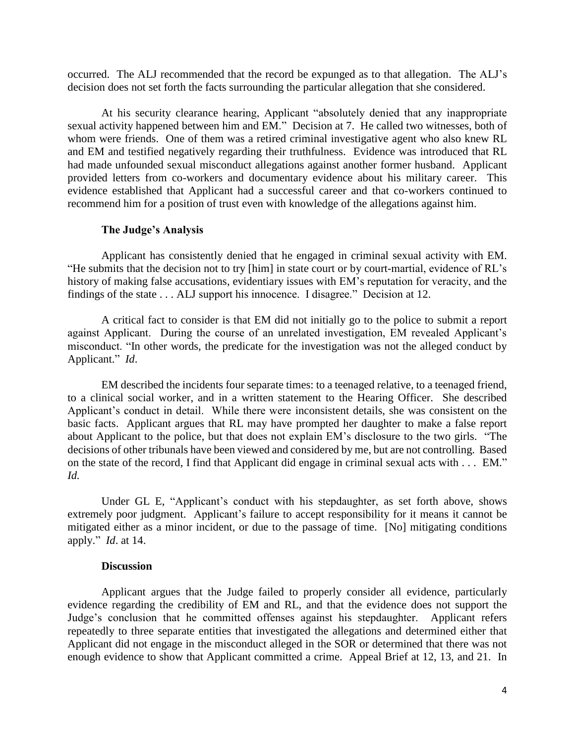occurred. The ALJ recommended that the record be expunged as to that allegation. The ALJ's decision does not set forth the facts surrounding the particular allegation that she considered.

 At his security clearance hearing, Applicant "absolutely denied that any inappropriate sexual activity happened between him and EM." Decision at 7. He called two witnesses, both of whom were friends. One of them was a retired criminal investigative agent who also knew RL and EM and testified negatively regarding their truthfulness. Evidence was introduced that RL had made unfounded sexual misconduct allegations against another former husband. Applicant provided letters from co-workers and documentary evidence about his military career. This evidence established that Applicant had a successful career and that co-workers continued to recommend him for a position of trust even with knowledge of the allegations against him.

#### **The Judge's Analysis**

 Applicant has consistently denied that he engaged in criminal sexual activity with EM. "He submits that the decision not to try [him] in state court or by court-martial, evidence of RL's history of making false accusations, evidentiary issues with EM's reputation for veracity, and the findings of the state . . . ALJ support his innocence. I disagree." Decision at 12.

 A critical fact to consider is that EM did not initially go to the police to submit a report against Applicant. During the course of an unrelated investigation, EM revealed Applicant's misconduct. "In other words, the predicate for the investigation was not the alleged conduct by Applicant." *Id*.

 to a clinical social worker, and in a written statement to the Hearing Officer. She described Applicant's conduct in detail. While there were inconsistent details, she was consistent on the basic facts. Applicant argues that RL may have prompted her daughter to make a false report about Applicant to the police, but that does not explain EM's disclosure to the two girls. "The decisions of other tribunals have been viewed and considered by me, but are not controlling. Based on the state of the record, I find that Applicant did engage in criminal sexual acts with . . . EM." EM described the incidents four separate times: to a teenaged relative, to a teenaged friend, *Id.* 

 extremely poor judgment. Applicant's failure to accept responsibility for it means it cannot be mitigated either as a minor incident, or due to the passage of time. [No] mitigating conditions apply." *Id*. at 14. Under GL E, "Applicant's conduct with his stepdaughter, as set forth above, shows

#### **Discussion**

 Applicant argues that the Judge failed to properly consider all evidence, particularly evidence regarding the credibility of EM and RL, and that the evidence does not support the Judge's conclusion that he committed offenses against his stepdaughter. Applicant refers repeatedly to three separate entities that investigated the allegations and determined either that Applicant did not engage in the misconduct alleged in the SOR or determined that there was not enough evidence to show that Applicant committed a crime. Appeal Brief at 12, 13, and 21. In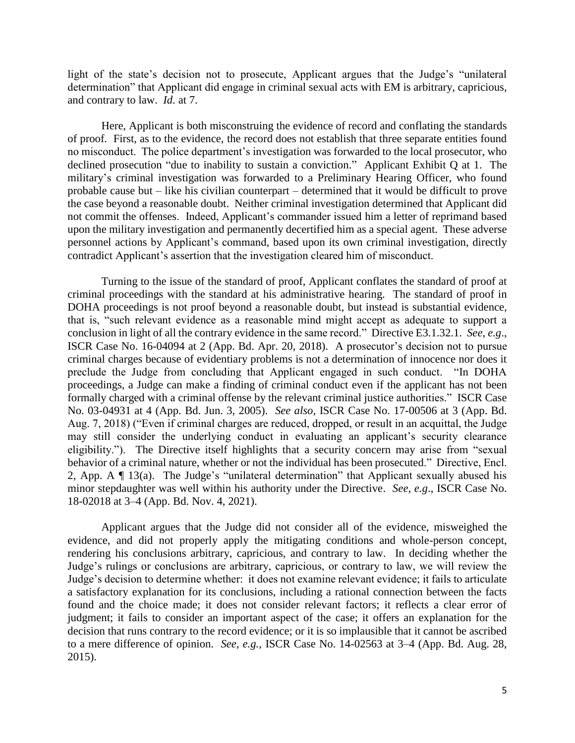light of the state's decision not to prosecute, Applicant argues that the Judge's "unilateral determination" that Applicant did engage in criminal sexual acts with EM is arbitrary, capricious, and contrary to law. *Id*. at 7.

 of proof. First, as to the evidence, the record does not establish that three separate entities found no misconduct. The police department's investigation was forwarded to the local prosecutor, who declined prosecution "due to inability to sustain a conviction." Applicant Exhibit Q at 1. The probable cause but – like his civilian counterpart – determined that it would be difficult to prove contradict Applicant's assertion that the investigation cleared him of misconduct. Here, Applicant is both misconstruing the evidence of record and conflating the standards military's criminal investigation was forwarded to a Preliminary Hearing Officer, who found the case beyond a reasonable doubt. Neither criminal investigation determined that Applicant did not commit the offenses. Indeed, Applicant's commander issued him a letter of reprimand based upon the military investigation and permanently decertified him as a special agent. These adverse personnel actions by Applicant's command, based upon its own criminal investigation, directly

 Turning to the issue of the standard of proof, Applicant conflates the standard of proof at DOHA proceedings is not proof beyond a reasonable doubt, but instead is substantial evidence, that is, "such relevant evidence as a reasonable mind might accept as adequate to support a conclusion in light of all the contrary evidence in the same record." Directive E3.1.32.1. *See, e.g*., criminal charges because of evidentiary problems is not a determination of innocence nor does it preclude the Judge from concluding that Applicant engaged in such conduct. "In DOHA proceedings, a Judge can make a finding of criminal conduct even if the applicant has not been formally charged with a criminal offense by the relevant criminal justice authorities." ISCR Case No. 03-04931 at 4 (App. Bd. Jun. 3, 2005). *See also,* ISCR Case No. 17-00506 at 3 (App. Bd. may still consider the underlying conduct in evaluating an applicant's security clearance eligibility."). The Directive itself highlights that a security concern may arise from "sexual behavior of a criminal nature, whether or not the individual has been prosecuted." Directive, Encl. 2, App. A ¶ 13(a). The Judge's "unilateral determination" that Applicant sexually abused his minor stepdaughter was well within his authority under the Directive. *See, e.g*., ISCR Case No. criminal proceedings with the standard at his administrative hearing. The standard of proof in ISCR Case No. 16-04094 at 2 (App. Bd. Apr. 20, 2018). A prosecutor's decision not to pursue Aug. 7, 2018) ("Even if criminal charges are reduced, dropped, or result in an acquittal, the Judge 18-02018 at 3–4 (App. Bd. Nov. 4, 2021).

 evidence, and did not properly apply the mitigating conditions and whole-person concept, Judge's rulings or conclusions are arbitrary, capricious, or contrary to law, we will review the Judge's decision to determine whether: it does not examine relevant evidence; it fails to articulate a satisfactory explanation for its conclusions, including a rational connection between the facts found and the choice made; it does not consider relevant factors; it reflects a clear error of decision that runs contrary to the record evidence; or it is so implausible that it cannot be ascribed to a mere difference of opinion. *See, e.g.*, ISCR Case No. 14-02563 at 3–4 (App. Bd. Aug. 28, 2015). Applicant argues that the Judge did not consider all of the evidence, misweighed the rendering his conclusions arbitrary, capricious, and contrary to law. In deciding whether the judgment; it fails to consider an important aspect of the case; it offers an explanation for the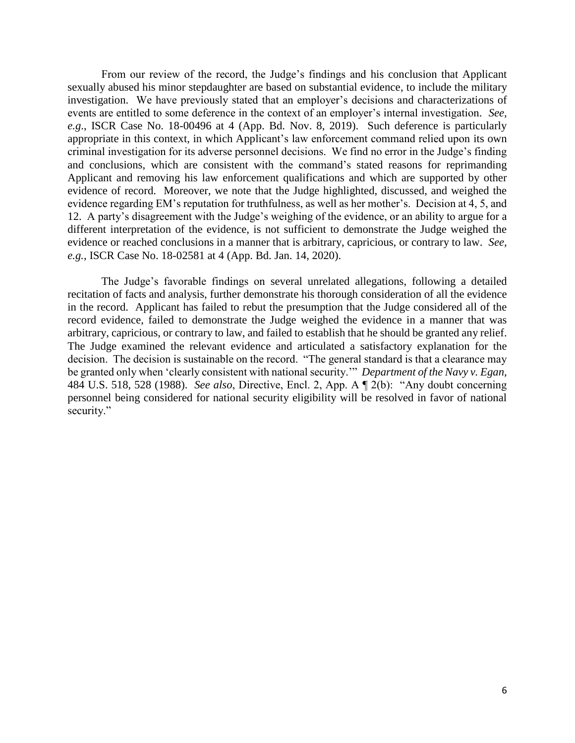From our review of the record, the Judge's findings and his conclusion that Applicant investigation. We have previously stated that an employer's decisions and characterizations of *e.g*., ISCR Case No. 18-00496 at 4 (App. Bd. Nov. 8, 2019). Such deference is particularly criminal investigation for its adverse personnel decisions. We find no error in the Judge's finding Applicant and removing his law enforcement qualifications and which are supported by other evidence regarding EM's reputation for truthfulness, as well as her mother's. Decision at 4, 5, and 12. A party's disagreement with the Judge's weighing of the evidence, or an ability to argue for a sexually abused his minor stepdaughter are based on substantial evidence, to include the military events are entitled to some deference in the context of an employer's internal investigation*. See,*  appropriate in this context, in which Applicant's law enforcement command relied upon its own and conclusions, which are consistent with the command's stated reasons for reprimanding evidence of record. Moreover, we note that the Judge highlighted, discussed, and weighed the different interpretation of the evidence, is not sufficient to demonstrate the Judge weighed the evidence or reached conclusions in a manner that is arbitrary, capricious, or contrary to law. *See, e.g.*, ISCR Case No. 18-02581 at 4 (App. Bd. Jan. 14, 2020).

 The Judge's favorable findings on several unrelated allegations, following a detailed in the record. Applicant has failed to rebut the presumption that the Judge considered all of the record evidence, failed to demonstrate the Judge weighed the evidence in a manner that was arbitrary, capricious, or contrary to law, and failed to establish that he should be granted any relief. The Judge examined the relevant evidence and articulated a satisfactory explanation for the decision. The decision is sustainable on the record. "The general standard is that a clearance may be granted only when 'clearly consistent with national security.'" *Department of the Navy v. Egan*, 484 U.S. 518, 528 (1988). *See also*, Directive, Encl. 2, App. A ¶ 2(b): "Any doubt concerning personnel being considered for national security eligibility will be resolved in favor of national recitation of facts and analysis, further demonstrate his thorough consideration of all the evidence security."